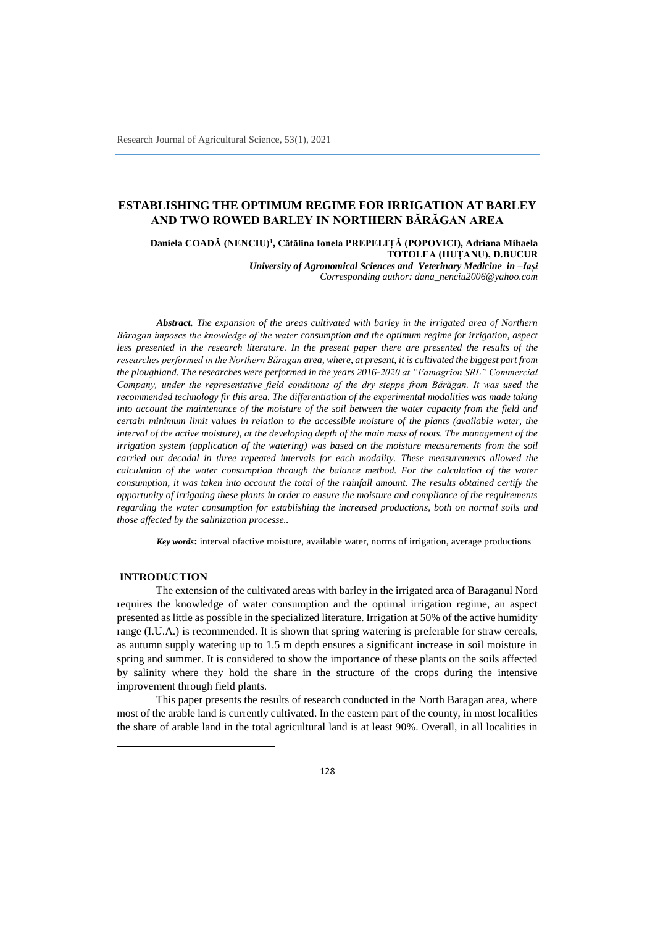# **ESTABLISHING THE OPTIMUM REGIME FOR IRRIGATION AT BARLEY AND TWO ROWED BARLEY IN NORTHERN BĂRĂGAN AREA**

**Daniela COADĂ (NENCIU)<sup>1</sup> , Cătălina Ionela PREPELIȚĂ (POPOVICI), Adriana Mihaela TOTOLEA (HUȚANU), D.BUCUR**

*University of Agronomical Sciences and Veterinary Medicine in –Iași Corresponding author: dana\_nenciu2006@yahoo.com*

*Abstract. The expansion of the areas cultivated with barley in the irrigated area of Northern Băragan imposes the knowledge of the water consumption and the optimum regime for irrigation, aspect less presented in the research literature. In the present paper there are presented the results of the researches performed in the Northern Băragan area, where, at present, it is cultivated the biggest part from the ploughland. The researches were performed in the years 2016-2020 at "Famagrion SRL" Commercial Company, under the representative field conditions of the dry steppe from Bărăgan. It was used the recommended technology fir this area. The differentiation of the experimental modalities was made taking into account the maintenance of the moisture of the soil between the water capacity from the field and certain minimum limit values in relation to the accessible moisture of the plants (available water, the interval of the active moisture), at the developing depth of the main mass of roots. The management of the irrigation system (application of the watering) was based on the moisture measurements from the soil carried out decadal in three repeated intervals for each modality. These measurements allowed the calculation of the water consumption through the balance method. For the calculation of the water consumption, it was taken into account the total of the rainfall amount. The results obtained certify the opportunity of irrigating these plants in order to ensure the moisture and compliance of the requirements regarding the water consumption for establishing the increased productions, both on normal soils and those affected by the salinization processe..*

*Key words***:** interval ofactive moisture, available water, norms of irrigation, average productions

#### **INTRODUCTION**

 $\overline{\phantom{a}}$ 

The extension of the cultivated areas with barley in the irrigated area of Baraganul Nord requires the knowledge of water consumption and the optimal irrigation regime, an aspect presented as little as possible in the specialized literature. Irrigation at 50% of the active humidity range (I.U.A.) is recommended. It is shown that spring watering is preferable for straw cereals, as autumn supply watering up to 1.5 m depth ensures a significant increase in soil moisture in spring and summer. It is considered to show the importance of these plants on the soils affected by salinity where they hold the share in the structure of the crops during the intensive improvement through field plants.

This paper presents the results of research conducted in the North Baragan area, where most of the arable land is currently cultivated. In the eastern part of the county, in most localities the share of arable land in the total agricultural land is at least 90%. Overall, in all localities in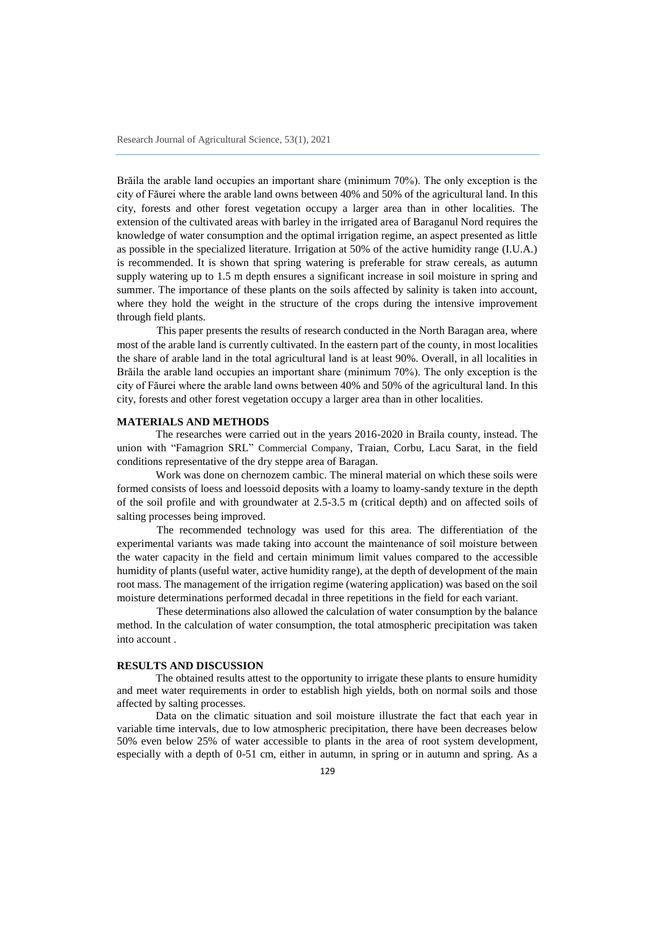Brăila the arable land occupies an important share (minimum 70%). The only exception is the city of Făurei where the arable land owns between 40% and 50% of the agricultural land. In this city, forests and other forest vegetation occupy a larger area than in other localities. The extension of the cultivated areas with barley in the irrigated area of Baraganul Nord requires the knowledge of water consumption and the optimal irrigation regime, an aspect presented as little as possible in the specialized literature. Irrigation at 50% of the active humidity range (I.U.A.) is recommended. It is shown that spring watering is preferable for straw cereals, as autumn supply watering up to 1.5 m depth ensures a significant increase in soil moisture in spring and summer. The importance of these plants on the soils affected by salinity is taken into account, where they hold the weight in the structure of the crops during the intensive improvement through field plants.

This paper presents the results of research conducted in the North Baragan area, where most of the arable land is currently cultivated. In the eastern part of the county, in most localities the share of arable land in the total agricultural land is at least 90%. Overall, in all localities in Brăila the arable land occupies an important share (minimum 70%). The only exception is the city of Făurei where the arable land owns between 40% and 50% of the agricultural land. In this city, forests and other forest vegetation occupy a larger area than in other localities.

### **MATERIALS AND METHODS**

The researches were carried out in the years 2016-2020 in Braila county, instead. The union with "Famagrion SRL" Commercial Company, Traian, Corbu, Lacu Sarat, in the field conditions representative of the dry steppe area of Baragan.

Work was done on chernozem cambic. The mineral material on which these soils were formed consists of loess and loessoid deposits with a loamy to loamy-sandy texture in the depth of the soil profile and with groundwater at 2.5-3.5 m (critical depth) and on affected soils of salting processes being improved.

The recommended technology was used for this area. The differentiation of the experimental variants was made taking into account the maintenance of soil moisture between the water capacity in the field and certain minimum limit values compared to the accessible humidity of plants (useful water, active humidity range), at the depth of development of the main root mass. The management of the irrigation regime (watering application) was based on the soil moisture determinations performed decadal in three repetitions in the field for each variant.

These determinations also allowed the calculation of water consumption by the balance method. In the calculation of water consumption, the total atmospheric precipitation was taken into account .

## **RESULTS AND DISCUSSION**

The obtained results attest to the opportunity to irrigate these plants to ensure humidity and meet water requirements in order to establish high yields, both on normal soils and those affected by salting processes.

Data on the climatic situation and soil moisture illustrate the fact that each year in variable time intervals, due to low atmospheric precipitation, there have been decreases below 50% even below 25% of water accessible to plants in the area of root system development, especially with a depth of 0-51 cm, either in autumn, in spring or in autumn and spring. As a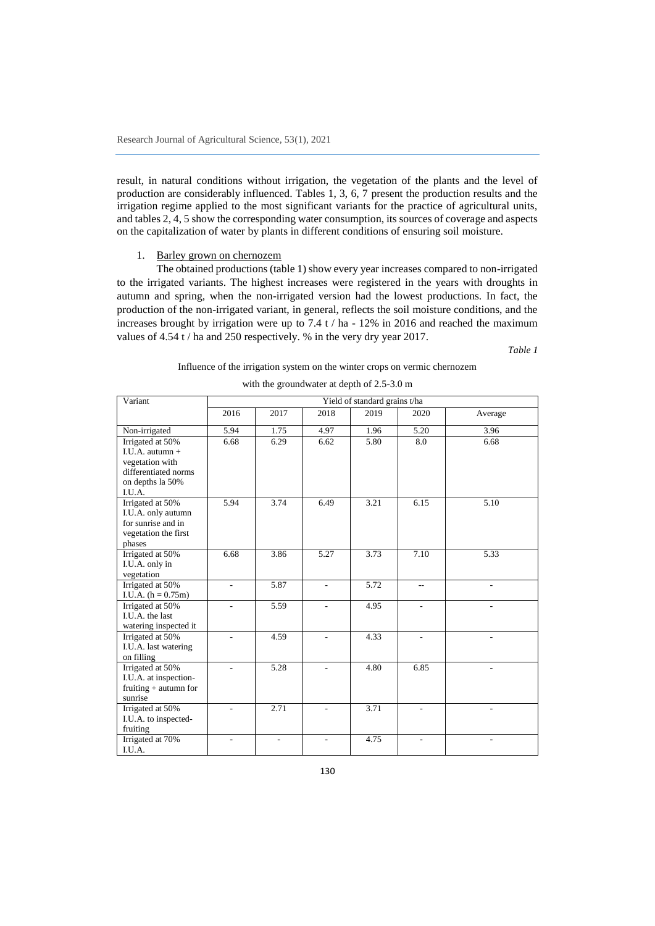result, in natural conditions without irrigation, the vegetation of the plants and the level of production are considerably influenced. Tables 1, 3, 6, 7 present the production results and the irrigation regime applied to the most significant variants for the practice of agricultural units, and tables 2, 4, 5 show the corresponding water consumption, its sources of coverage and aspects on the capitalization of water by plants in different conditions of ensuring soil moisture.

#### 1. Barley grown on chernozem

The obtained productions (table 1) show every year increases compared to non-irrigated to the irrigated variants. The highest increases were registered in the years with droughts in autumn and spring, when the non-irrigated version had the lowest productions. In fact, the production of the non-irrigated variant, in general, reflects the soil moisture conditions, and the increases brought by irrigation were up to 7.4 t / ha - 12% in 2016 and reached the maximum values of 4.54 t / ha and 250 respectively. % in the very dry year 2017.

*Table 1*

#### Influence of the irrigation system on the winter crops on vermic chernozem

| Variant                                                                                                        |      |                |                          | Yield of standard grains t/ha | 2020<br>Average<br>5.20<br>3.96<br>8.0<br>6.68 |      |
|----------------------------------------------------------------------------------------------------------------|------|----------------|--------------------------|-------------------------------|------------------------------------------------|------|
|                                                                                                                | 2016 | 2017           | 2018                     | 2019                          |                                                |      |
| Non-irrigated                                                                                                  | 5.94 | 1.75           | 4.97                     | 1.96                          |                                                |      |
| Irrigated at 50%<br>I.U.A. autumn $+$<br>vegetation with<br>differentiated norms<br>on depths la 50%<br>I.U.A. | 6.68 | 6.29           | 6.62                     | 5.80                          |                                                |      |
| Irrigated at 50%<br>I.U.A. only autumn<br>for sunrise and in<br>vegetation the first<br>phases                 | 5.94 | 3.74           | 6.49                     | 3.21                          | 6.15                                           | 5.10 |
| Irrigated at 50%<br>I.U.A. only in<br>vegetation                                                               | 6.68 | 3.86           | 5.27                     | 3.73                          | 7.10                                           | 5.33 |
| Irrigated at 50%<br>I.U.A. $(h = 0.75m)$                                                                       | L.   | 5.87           | $\overline{a}$           | 5.72                          | $-$                                            |      |
| Irrigated at 50%<br>I.U.A. the last<br>watering inspected it                                                   | L.   | 5.59           | $\overline{a}$           | 4.95                          | ÷.                                             |      |
| Irrigated at 50%<br>I.U.A. last watering<br>on filling                                                         |      | 4.59           |                          | 4.33                          |                                                |      |
| Irrigated at 50%<br>I.U.A. at inspection-<br>fruiting $+$ autumn for<br>sunrise                                | L.   | 5.28           | ٠                        | 4.80                          | 6.85                                           | ٠    |
| Irrigated at 50%<br>I.U.A. to inspected-<br>fruiting                                                           |      | 2.71           |                          | 3.71                          |                                                |      |
| Irrigated at 70%<br>I.U.A.                                                                                     | ä,   | $\blacksquare$ | $\overline{\phantom{a}}$ | 4.75                          | ÷,                                             | ÷,   |

|  | with the groundwater at depth of 2.5-3.0 m |  |  |
|--|--------------------------------------------|--|--|
|--|--------------------------------------------|--|--|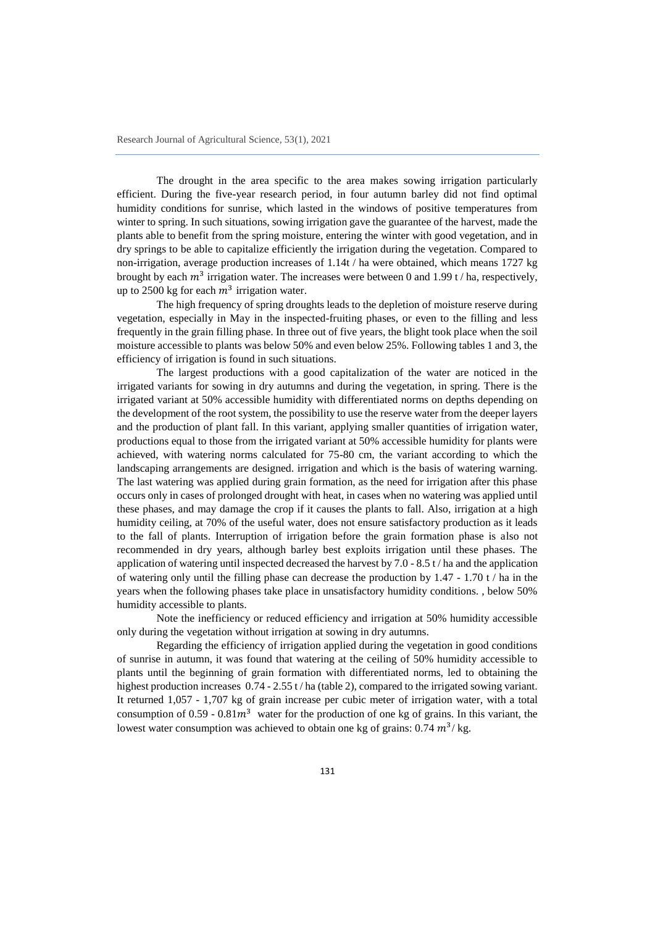The drought in the area specific to the area makes sowing irrigation particularly efficient. During the five-year research period, in four autumn barley did not find optimal humidity conditions for sunrise, which lasted in the windows of positive temperatures from winter to spring. In such situations, sowing irrigation gave the guarantee of the harvest, made the plants able to benefit from the spring moisture, entering the winter with good vegetation, and in dry springs to be able to capitalize efficiently the irrigation during the vegetation. Compared to non-irrigation, average production increases of 1.14t / ha were obtained, which means 1727 kg brought by each  $m^3$  irrigation water. The increases were between 0 and 1.99 t / ha, respectively, up to 2500 kg for each  $m^3$  irrigation water.

The high frequency of spring droughts leads to the depletion of moisture reserve during vegetation, especially in May in the inspected-fruiting phases, or even to the filling and less frequently in the grain filling phase. In three out of five years, the blight took place when the soil moisture accessible to plants was below 50% and even below 25%. Following tables 1 and 3, the efficiency of irrigation is found in such situations.

The largest productions with a good capitalization of the water are noticed in the irrigated variants for sowing in dry autumns and during the vegetation, in spring. There is the irrigated variant at 50% accessible humidity with differentiated norms on depths depending on the development of the root system, the possibility to use the reserve water from the deeper layers and the production of plant fall. In this variant, applying smaller quantities of irrigation water, productions equal to those from the irrigated variant at 50% accessible humidity for plants were achieved, with watering norms calculated for 75-80 cm, the variant according to which the landscaping arrangements are designed. irrigation and which is the basis of watering warning. The last watering was applied during grain formation, as the need for irrigation after this phase occurs only in cases of prolonged drought with heat, in cases when no watering was applied until these phases, and may damage the crop if it causes the plants to fall. Also, irrigation at a high humidity ceiling, at 70% of the useful water, does not ensure satisfactory production as it leads to the fall of plants. Interruption of irrigation before the grain formation phase is also not recommended in dry years, although barley best exploits irrigation until these phases. The application of watering until inspected decreased the harvest by 7.0 - 8.5 t / ha and the application of watering only until the filling phase can decrease the production by  $1.47 - 1.70$  t / ha in the years when the following phases take place in unsatisfactory humidity conditions. , below 50% humidity accessible to plants.

Note the inefficiency or reduced efficiency and irrigation at 50% humidity accessible only during the vegetation without irrigation at sowing in dry autumns.

Regarding the efficiency of irrigation applied during the vegetation in good conditions of sunrise in autumn, it was found that watering at the ceiling of 50% humidity accessible to plants until the beginning of grain formation with differentiated norms, led to obtaining the highest production increases  $0.74 - 2.55$  t / ha (table 2), compared to the irrigated sowing variant. It returned 1,057 - 1,707 kg of grain increase per cubic meter of irrigation water, with a total consumption of  $0.59 - 0.81m<sup>3</sup>$  water for the production of one kg of grains. In this variant, the lowest water consumption was achieved to obtain one kg of grains:  $0.74 \frac{m^3}{\text{kg}}$ .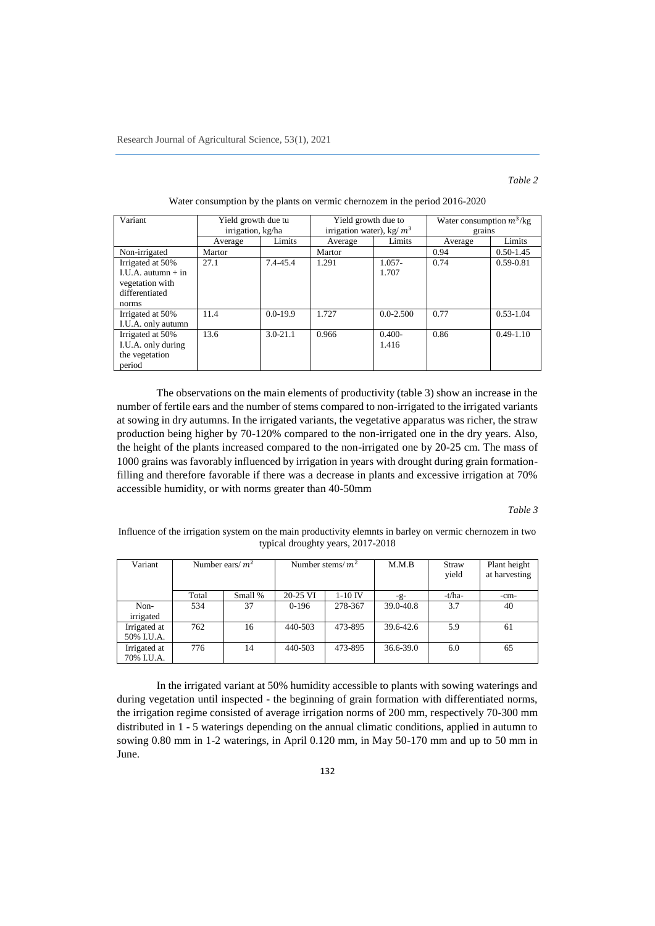# *Table 2*

| Variant                | Yield growth due tu |              | Yield growth due to         |               | Water consumption $m^3$ /kg |               |  |
|------------------------|---------------------|--------------|-----------------------------|---------------|-----------------------------|---------------|--|
|                        | irrigation, kg/ha   |              | irrigation water), kg/ $m3$ |               | grains                      |               |  |
|                        | Average             | Limits       | Average                     | Limits        | Average                     | Limits        |  |
| Non-irrigated          | Martor              |              | Martor                      |               | 0.94                        | $0.50 - 1.45$ |  |
| Irrigated at 50%       | 27.1                | 7.4-45.4     | 1.291                       | $1.057 -$     | 0.74                        | $0.59 - 0.81$ |  |
| $I.U.A.$ autumn $+$ in |                     |              |                             | 1.707         |                             |               |  |
| vegetation with        |                     |              |                             |               |                             |               |  |
| differentiated         |                     |              |                             |               |                             |               |  |
| norms                  |                     |              |                             |               |                             |               |  |
| Irrigated at 50%       | 11.4                | $0.0 - 19.9$ | 1.727                       | $0.0 - 2.500$ | 0.77                        | $0.53 - 1.04$ |  |
| I.U.A. only autumn     |                     |              |                             |               |                             |               |  |
| Irrigated at 50%       | 13.6                | $3.0 - 21.1$ | 0.966                       | $0.400 -$     | 0.86                        | $0.49 - 1.10$ |  |
| I.U.A. only during     |                     |              |                             | 1.416         |                             |               |  |
| the vegetation         |                     |              |                             |               |                             |               |  |
| period                 |                     |              |                             |               |                             |               |  |

### Water consumption by the plants on vermic chernozem in the period 2016-2020

The observations on the main elements of productivity (table 3) show an increase in the number of fertile ears and the number of stems compared to non-irrigated to the irrigated variants at sowing in dry autumns. In the irrigated variants, the vegetative apparatus was richer, the straw production being higher by 70-120% compared to the non-irrigated one in the dry years. Also, the height of the plants increased compared to the non-irrigated one by 20-25 cm. The mass of 1000 grains was favorably influenced by irrigation in years with drought during grain formationfilling and therefore favorable if there was a decrease in plants and excessive irrigation at 70% accessible humidity, or with norms greater than 40-50mm

# *Table 3*

Influence of the irrigation system on the main productivity elemnts in barley on vermic chernozem in two typical droughty years, 2017-2018

| Variant                    |       | Number ears/ $m^2$<br>Number stems/ $m^2$ |          |           | M.M.B           | Straw<br>yield | Plant height<br>at harvesting |
|----------------------------|-------|-------------------------------------------|----------|-----------|-----------------|----------------|-------------------------------|
|                            | Total | Small %                                   | 20-25 VI | $1-10$ IV | $-\mathbf{g}$ - | -t/ha-         | $-cm-$                        |
| Non-<br>irrigated          | 534   | 37                                        | $0-196$  | 278-367   | 39.0-40.8       | 3.7            | 40                            |
| Irrigated at<br>50% I.U.A. | 762   | 16                                        | 440-503  | 473-895   | 39.6-42.6       | 5.9            | 61                            |
| Irrigated at<br>70% I.U.A. | 776   | 14                                        | 440-503  | 473-895   | 36.6-39.0       | 6.0            | 65                            |

In the irrigated variant at 50% humidity accessible to plants with sowing waterings and during vegetation until inspected - the beginning of grain formation with differentiated norms, the irrigation regime consisted of average irrigation norms of 200 mm, respectively 70-300 mm distributed in 1 - 5 waterings depending on the annual climatic conditions, applied in autumn to sowing 0.80 mm in 1-2 waterings, in April 0.120 mm, in May 50-170 mm and up to 50 mm in June.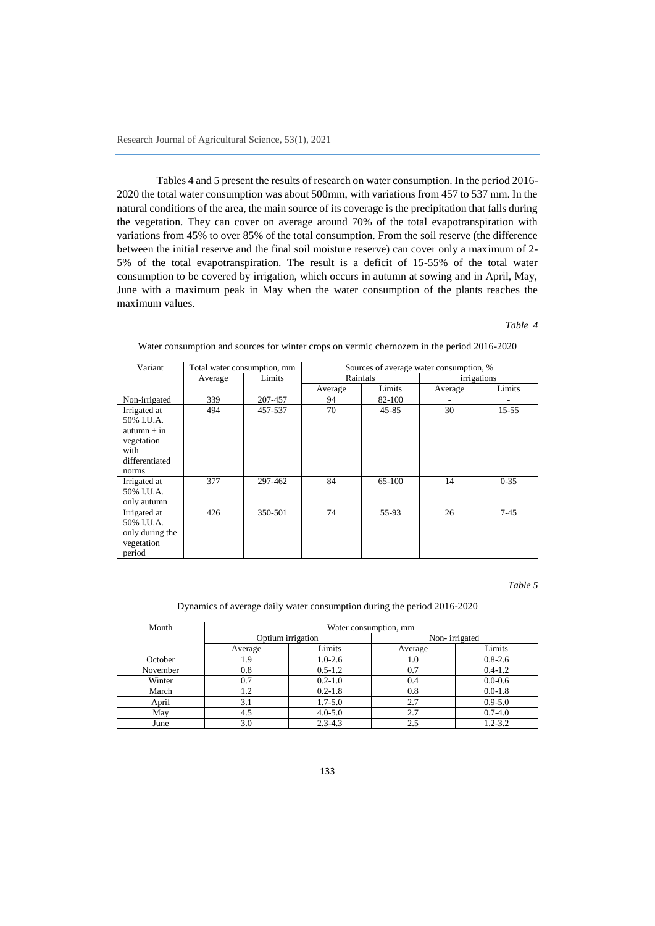Tables 4 and 5 present the results of research on water consumption. In the period 2016- 2020 the total water consumption was about 500mm, with variations from 457 to 537 mm. In the natural conditions of the area, the main source of its coverage is the precipitation that falls during the vegetation. They can cover on average around 70% of the total evapotranspiration with variations from 45% to over 85% of the total consumption. From the soil reserve (the difference between the initial reserve and the final soil moisture reserve) can cover only a maximum of 2- 5% of the total evapotranspiration. The result is a deficit of 15-55% of the total water consumption to be covered by irrigation, which occurs in autumn at sowing and in April, May, June with a maximum peak in May when the water consumption of the plants reaches the maximum values.

# *Table 4*

| Variant         | Total water consumption, mm |         | Sources of average water consumption, % |           |             |          |  |  |  |
|-----------------|-----------------------------|---------|-----------------------------------------|-----------|-------------|----------|--|--|--|
|                 | Average                     | Limits  | Rainfals                                |           | irrigations |          |  |  |  |
|                 |                             |         | Average                                 | Limits    | Average     | Limits   |  |  |  |
| Non-irrigated   | 339                         | 207-457 | 94                                      | 82-100    |             |          |  |  |  |
| Irrigated at    | 494                         | 457-537 | 70                                      | $45 - 85$ | 30          | 15-55    |  |  |  |
| 50% I.U.A.      |                             |         |                                         |           |             |          |  |  |  |
| $autumn + in$   |                             |         |                                         |           |             |          |  |  |  |
| vegetation      |                             |         |                                         |           |             |          |  |  |  |
| with            |                             |         |                                         |           |             |          |  |  |  |
| differentiated  |                             |         |                                         |           |             |          |  |  |  |
| norms           |                             |         |                                         |           |             |          |  |  |  |
| Irrigated at    | 377                         | 297-462 | 84                                      | 65-100    | 14          | $0 - 35$ |  |  |  |
| 50% I.U.A.      |                             |         |                                         |           |             |          |  |  |  |
| only autumn     |                             |         |                                         |           |             |          |  |  |  |
| Irrigated at    | 426                         | 350-501 | 74                                      | 55-93     | 26          | $7-45$   |  |  |  |
| 50% I.U.A.      |                             |         |                                         |           |             |          |  |  |  |
| only during the |                             |         |                                         |           |             |          |  |  |  |
| vegetation      |                             |         |                                         |           |             |          |  |  |  |
| period          |                             |         |                                         |           |             |          |  |  |  |

Water consumption and sources for winter crops on vermic chernozem in the period 2016-2020

### *Table 5*

### Dynamics of average daily water consumption during the period 2016-2020

| Month    | Water consumption, mm |                   |               |             |  |  |  |  |
|----------|-----------------------|-------------------|---------------|-------------|--|--|--|--|
|          |                       | Optium irrigation | Non-irrigated |             |  |  |  |  |
|          | Average               | Limits            | Average       | Limits      |  |  |  |  |
| October  | . .9                  | $1.0 - 2.6$       | 1.0           | $0.8 - 2.6$ |  |  |  |  |
| November | 0.8                   | $0.5 - 1.2$       | 0.7           | $0.4 - 1.2$ |  |  |  |  |
| Winter   | 0.7                   | $0.2 - 1.0$       | 0.4           | $0.0 - 0.6$ |  |  |  |  |
| March    |                       | $0.2 - 1.8$       | 0.8           | $0.0 - 1.8$ |  |  |  |  |
| April    | 3.1                   | $1.7 - 5.0$       | 2.7           | $0.9 - 5.0$ |  |  |  |  |
| May      | 4.5                   | $4.0 - 5.0$       | 2.7           | $0.7 - 4.0$ |  |  |  |  |
| June     | 3.0                   | $2.3 - 4.3$       | 2.5           | $1.2 - 3.2$ |  |  |  |  |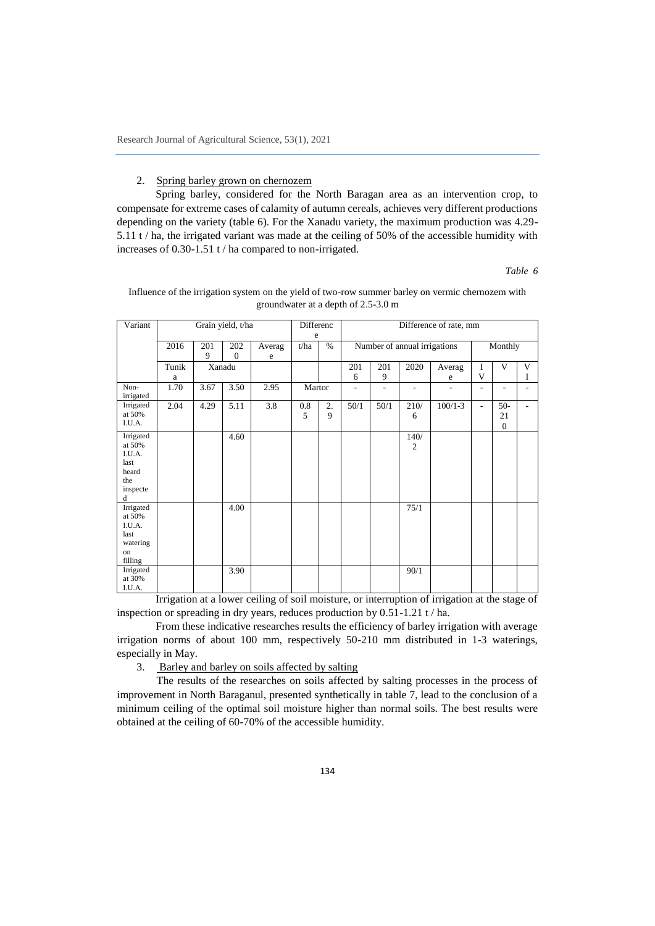### 2. Spring barley grown on chernozem

Spring barley, considered for the North Baragan area as an intervention crop, to compensate for extreme cases of calamity of autumn cereals, achieves very different productions depending on the variety (table 6). For the Xanadu variety, the maximum production was 4.29- 5.11 t / ha, the irrigated variant was made at the ceiling of 50% of the accessible humidity with increases of 0.30-1.51 t / ha compared to non-irrigated.

*Table 6*

| Variant                                                                |            | Grain yield, t/ha |                     | Differenc   |           |               |          |          | Difference of rate, mm       |             |         |                               |        |
|------------------------------------------------------------------------|------------|-------------------|---------------------|-------------|-----------|---------------|----------|----------|------------------------------|-------------|---------|-------------------------------|--------|
|                                                                        | 2016       | 201<br>9          | 202<br>$\mathbf{0}$ | Averag<br>e | e<br>t/ha | $\frac{0}{0}$ |          |          | Number of annual irrigations |             | Monthly |                               |        |
|                                                                        | Tunik<br>a |                   | Xanadu              |             |           |               | 201<br>6 | 201<br>9 | 2020                         | Averag<br>e | I<br>V  | V                             | V<br>I |
| Non-<br>irrigated                                                      | 1.70       | 3.67              | 3.50                | 2.95        | Martor    |               | L,       |          |                              |             | ۰       |                               |        |
| Irrigated<br>at 50%<br>I.U.A.                                          | 2.04       | 4.29              | 5.11                | 3.8         | 0.8<br>5  | 2.<br>9       | 50/1     | 50/1     | 210/<br>6                    | $100/1 - 3$ | ۰       | $50-$<br>21<br>$\overline{0}$ |        |
| Irrigated<br>at 50%<br>I.U.A.<br>last<br>heard<br>the<br>inspecte<br>d |            |                   | 4.60                |             |           |               |          |          | 140/<br>$\overline{c}$       |             |         |                               |        |
| Irrigated<br>at 50%<br>I.U.A.<br>last<br>watering<br>on<br>filling     |            |                   | 4.00                |             |           |               |          |          | 75/1                         |             |         |                               |        |
| Irrigated<br>at 30%<br>I.U.A.                                          |            |                   | 3.90                |             |           |               |          |          | 90/1                         |             |         |                               |        |

### Influence of the irrigation system on the yield of two-row summer barley on vermic chernozem with groundwater at a depth of 2.5-3.0 m

Irrigation at a lower ceiling of soil moisture, or interruption of irrigation at the stage of inspection or spreading in dry years, reduces production by 0.51-1.21 t / ha.

From these indicative researches results the efficiency of barley irrigation with average irrigation norms of about 100 mm, respectively 50-210 mm distributed in 1-3 waterings, especially in May.

3. Barley and barley on soils affected by salting

The results of the researches on soils affected by salting processes in the process of improvement in North Baraganul, presented synthetically in table 7, lead to the conclusion of a minimum ceiling of the optimal soil moisture higher than normal soils. The best results were obtained at the ceiling of 60-70% of the accessible humidity.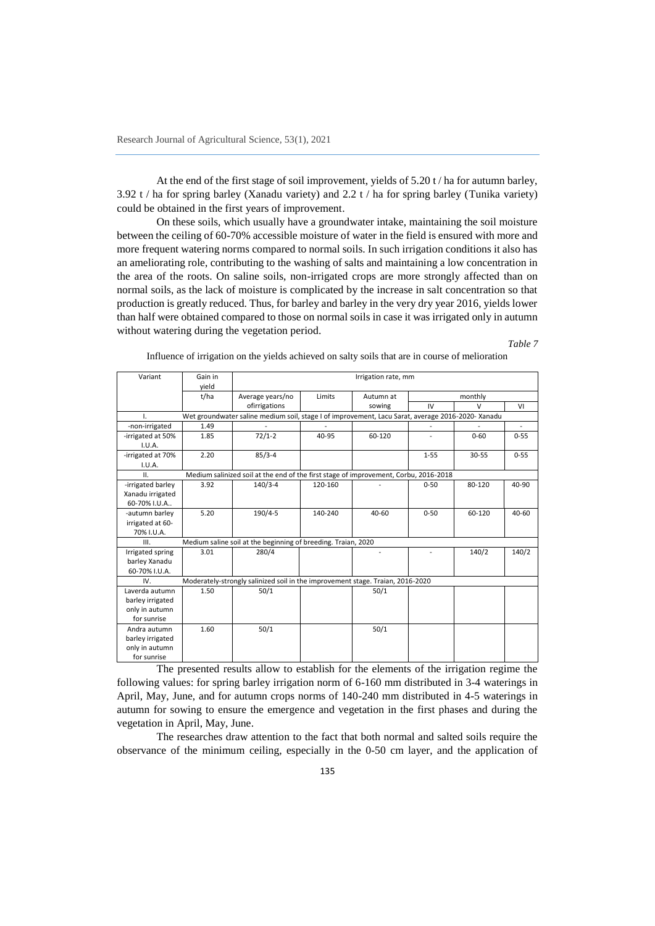At the end of the first stage of soil improvement, yields of 5.20 t / ha for autumn barley, 3.92 t / ha for spring barley (Xanadu variety) and 2.2 t / ha for spring barley (Tunika variety) could be obtained in the first years of improvement.

On these soils, which usually have a groundwater intake, maintaining the soil moisture between the ceiling of 60-70% accessible moisture of water in the field is ensured with more and more frequent watering norms compared to normal soils. In such irrigation conditions it also has an ameliorating role, contributing to the washing of salts and maintaining a low concentration in the area of the roots. On saline soils, non-irrigated crops are more strongly affected than on normal soils, as the lack of moisture is complicated by the increase in salt concentration so that production is greatly reduced. Thus, for barley and barley in the very dry year 2016, yields lower than half were obtained compared to those on normal soils in case it was irrigated only in autumn without watering during the vegetation period.

*Table 7*

| Variant           | Gain in | Irrigation rate, mm                                                                               |         |           |          |           |                |  |
|-------------------|---------|---------------------------------------------------------------------------------------------------|---------|-----------|----------|-----------|----------------|--|
|                   | vield   |                                                                                                   |         |           |          |           |                |  |
|                   | t/ha    | Average years/no                                                                                  | Limits  | Autumn at | monthly  |           |                |  |
|                   |         | ofirrigations                                                                                     |         | sowing    | IV       | $\vee$    | VI             |  |
| I.                |         | Wet groundwater saline medium soil, stage I of improvement, Lacu Sarat, average 2016-2020- Xanadu |         |           |          |           |                |  |
| -non-irrigated    | 1.49    |                                                                                                   |         |           |          |           | $\overline{a}$ |  |
| -irrigated at 50% | 1.85    | $72/1-2$                                                                                          | 40-95   | 60-120    |          | $0 - 60$  | $0 - 55$       |  |
| I.U.A.            |         |                                                                                                   |         |           |          |           |                |  |
| -irrigated at 70% | 2.20    | $85/3 - 4$                                                                                        |         |           | $1 - 55$ | $30 - 55$ | $0 - 55$       |  |
| I.U.A.            |         |                                                                                                   |         |           |          |           |                |  |
| ΙΙ.               |         | Medium salinized soil at the end of the first stage of improvement, Corbu, 2016-2018              |         |           |          |           |                |  |
| -irrigated barley | 3.92    | $140/3 - 4$                                                                                       | 120-160 |           | $0 - 50$ | 80-120    | 40-90          |  |
| Xanadu irrigated  |         |                                                                                                   |         |           |          |           |                |  |
| 60-70% I.U.A      |         |                                                                                                   |         |           |          |           |                |  |
| -autumn barley    | 5.20    | 190/4-5                                                                                           | 140-240 | 40-60     | $0 - 50$ | 60-120    | 40-60          |  |
| irrigated at 60-  |         |                                                                                                   |         |           |          |           |                |  |
| 70% I.U.A.        |         |                                                                                                   |         |           |          |           |                |  |
| III.              |         | Medium saline soil at the beginning of breeding. Traian, 2020                                     |         |           |          |           |                |  |
| Irrigated spring  | 3.01    | 280/4                                                                                             |         |           |          | 140/2     | 140/2          |  |
| barley Xanadu     |         |                                                                                                   |         |           |          |           |                |  |
| 60-70% I.U.A.     |         |                                                                                                   |         |           |          |           |                |  |
| IV.               |         | Moderately-strongly salinized soil in the improvement stage. Traian, 2016-2020                    |         |           |          |           |                |  |
| Laverda autumn    | 1.50    | 50/1                                                                                              |         | 50/1      |          |           |                |  |
| barley irrigated  |         |                                                                                                   |         |           |          |           |                |  |
| only in autumn    |         |                                                                                                   |         |           |          |           |                |  |
| for sunrise       |         |                                                                                                   |         |           |          |           |                |  |
| Andra autumn      | 1.60    | 50/1                                                                                              |         | 50/1      |          |           |                |  |
| barley irrigated  |         |                                                                                                   |         |           |          |           |                |  |
| only in autumn    |         |                                                                                                   |         |           |          |           |                |  |
| for sunrise       |         |                                                                                                   |         |           |          |           |                |  |

Influence of irrigation on the yields achieved on salty soils that are in course of melioration

The presented results allow to establish for the elements of the irrigation regime the following values: for spring barley irrigation norm of 6-160 mm distributed in 3-4 waterings in April, May, June, and for autumn crops norms of 140-240 mm distributed in 4-5 waterings in autumn for sowing to ensure the emergence and vegetation in the first phases and during the vegetation in April, May, June.

The researches draw attention to the fact that both normal and salted soils require the observance of the minimum ceiling, especially in the 0-50 cm layer, and the application of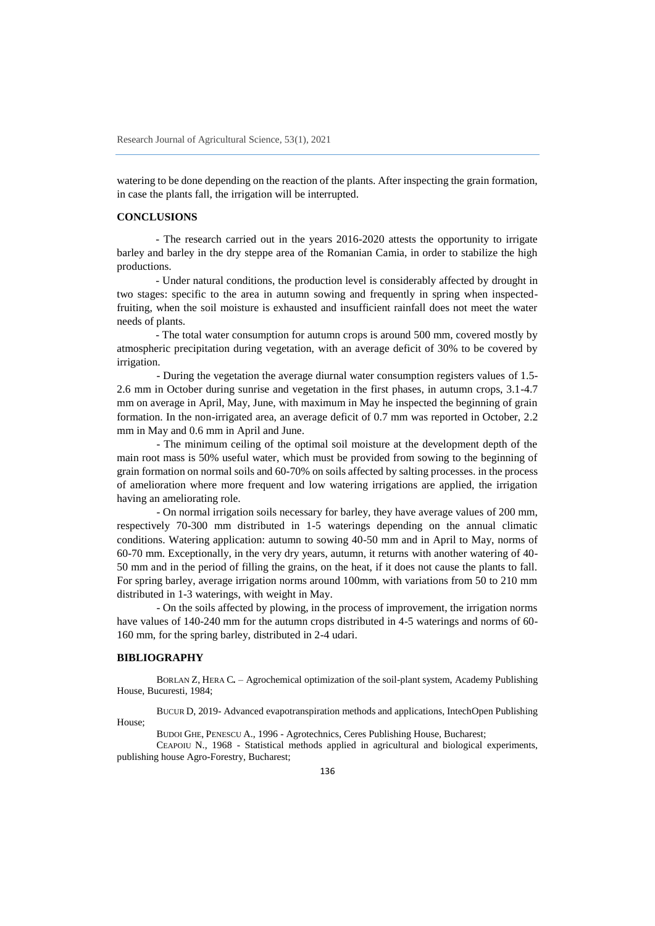watering to be done depending on the reaction of the plants. After inspecting the grain formation, in case the plants fall, the irrigation will be interrupted.

# **CONCLUSIONS**

- The research carried out in the years 2016-2020 attests the opportunity to irrigate barley and barley in the dry steppe area of the Romanian Camia, in order to stabilize the high productions.

- Under natural conditions, the production level is considerably affected by drought in two stages: specific to the area in autumn sowing and frequently in spring when inspectedfruiting, when the soil moisture is exhausted and insufficient rainfall does not meet the water needs of plants.

- The total water consumption for autumn crops is around 500 mm, covered mostly by atmospheric precipitation during vegetation, with an average deficit of 30% to be covered by irrigation.

- During the vegetation the average diurnal water consumption registers values of 1.5- 2.6 mm in October during sunrise and vegetation in the first phases, in autumn crops, 3.1-4.7 mm on average in April, May, June, with maximum in May he inspected the beginning of grain formation. In the non-irrigated area, an average deficit of 0.7 mm was reported in October, 2.2 mm in May and 0.6 mm in April and June.

- The minimum ceiling of the optimal soil moisture at the development depth of the main root mass is 50% useful water, which must be provided from sowing to the beginning of grain formation on normal soils and 60-70% on soils affected by salting processes. in the process of amelioration where more frequent and low watering irrigations are applied, the irrigation having an ameliorating role.

- On normal irrigation soils necessary for barley, they have average values of 200 mm, respectively 70-300 mm distributed in 1-5 waterings depending on the annual climatic conditions. Watering application: autumn to sowing 40-50 mm and in April to May, norms of 60-70 mm. Exceptionally, in the very dry years, autumn, it returns with another watering of 40- 50 mm and in the period of filling the grains, on the heat, if it does not cause the plants to fall. For spring barley, average irrigation norms around 100mm, with variations from 50 to 210 mm distributed in 1-3 waterings, with weight in May.

- On the soils affected by plowing, in the process of improvement, the irrigation norms have values of 140-240 mm for the autumn crops distributed in 4-5 waterings and norms of 60- 160 mm, for the spring barley, distributed in 2-4 udari.

# **BIBLIOGRAPHY**

BORLAN Z, HERA C*.* – Agrochemical optimization of the soil-plant system, Academy Publishing House, Bucuresti, 1984;

BUCUR D, 2019- Advanced evapotranspiration methods and applications, IntechOpen Publishing House;

BUDOI GHE, PENESCU A., 1996 - Agrotechnics, Ceres Publishing House, Bucharest;

CEAPOIU N., 1968 - Statistical methods applied in agricultural and biological experiments, publishing house Agro-Forestry, Bucharest;